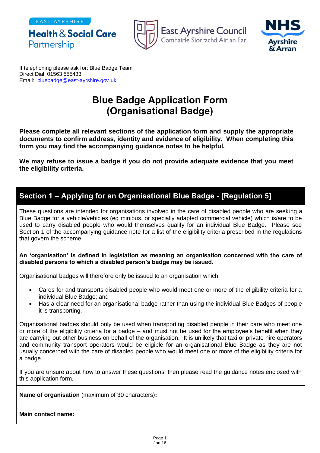EAST AYRSHIRE

Partnership





If telephoning please ask for: Blue Badge Team Direct Dial: 01563 555433 Email: [bluebadge@east-ayrshire.gov.uk](mailto:bluebadge@east-ayrshire.gov.uk)

**Health & Social Care** 

# **Blue Badge Application Form (Organisational Badge)**

**Please complete all relevant sections of the application form and supply the appropriate documents to confirm address, identity and evidence of eligibility. When completing this form you may find the accompanying guidance notes to be helpful.**

**We may refuse to issue a badge if you do not provide adequate evidence that you meet the eligibility criteria.**

# **Section 1 – Applying for an Organisational Blue Badge - [Regulation 5]**

These questions are intended for organisations involved in the care of disabled people who are seeking a Blue Badge for a vehicle/vehicles (eg minibus, or specially adapted commercial vehicle) which is/are to be used to carry disabled people who would themselves qualify for an individual Blue Badge. Please see Section 1 of the accompanying guidance note for a list of the eligibility criteria prescribed in the regulations that govern the scheme.

#### **An 'organisation' is defined in legislation as meaning an organisation concerned with the care of disabled persons to which a disabled person's badge may be issued.**

Organisational badges will therefore only be issued to an organisation which:

- Cares for and transports disabled people who would meet one or more of the eligibility criteria for a individual Blue Badge; and
- Has a clear need for an organisational badge rather than using the individual Blue Badges of people it is transporting.

Organisational badges should only be used when transporting disabled people in their care who meet one or more of the eligibility criteria for a badge – and must not be used for the employee's benefit when they are carrying out other business on behalf of the organisation. It is unlikely that taxi or private hire operators and community transport operators would be eligible for an organisational Blue Badge as they are not usually concerned with the care of disabled people who would meet one or more of the eligibility criteria for a badge.

If you are unsure about how to answer these questions, then please read the guidance notes enclosed with this application form.

**Name of organisation** (maximum of 30 characters)**:** 

**Main contact name:**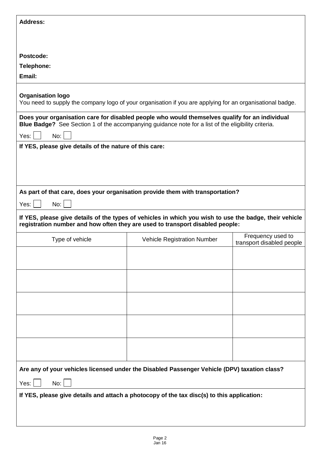| <b>Address:</b>                                                                                                                                                                                                      |                                    |                                                |
|----------------------------------------------------------------------------------------------------------------------------------------------------------------------------------------------------------------------|------------------------------------|------------------------------------------------|
|                                                                                                                                                                                                                      |                                    |                                                |
|                                                                                                                                                                                                                      |                                    |                                                |
| Postcode:                                                                                                                                                                                                            |                                    |                                                |
| Telephone:                                                                                                                                                                                                           |                                    |                                                |
| Email:                                                                                                                                                                                                               |                                    |                                                |
| <b>Organisation logo</b><br>You need to supply the company logo of your organisation if you are applying for an organisational badge.                                                                                |                                    |                                                |
| Does your organisation care for disabled people who would themselves qualify for an individual<br>Blue Badge? See Section 1 of the accompanying guidance note for a list of the eligibility criteria.<br>No:<br>Yes: |                                    |                                                |
| If YES, please give details of the nature of this care:                                                                                                                                                              |                                    |                                                |
|                                                                                                                                                                                                                      |                                    |                                                |
| As part of that care, does your organisation provide them with transportation?                                                                                                                                       |                                    |                                                |
| No:<br>Yes:                                                                                                                                                                                                          |                                    |                                                |
| If YES, please give details of the types of vehicles in which you wish to use the badge, their vehicle<br>registration number and how often they are used to transport disabled people:                              |                                    |                                                |
| Type of vehicle                                                                                                                                                                                                      | <b>Vehicle Registration Number</b> | Frequency used to<br>transport disabled people |
|                                                                                                                                                                                                                      |                                    |                                                |
|                                                                                                                                                                                                                      |                                    |                                                |
|                                                                                                                                                                                                                      |                                    |                                                |
|                                                                                                                                                                                                                      |                                    |                                                |
|                                                                                                                                                                                                                      |                                    |                                                |
|                                                                                                                                                                                                                      |                                    |                                                |
|                                                                                                                                                                                                                      |                                    |                                                |
| Are any of your vehicles licensed under the Disabled Passenger Vehicle (DPV) taxation class?                                                                                                                         |                                    |                                                |
| No:<br>Yes:                                                                                                                                                                                                          |                                    |                                                |
| If YES, please give details and attach a photocopy of the tax disc(s) to this application:                                                                                                                           |                                    |                                                |
|                                                                                                                                                                                                                      |                                    |                                                |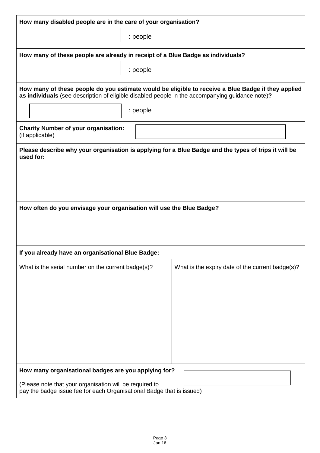| How many disabled people are in the care of your organisation?                                                                                                                                        |                                                  |  |  |
|-------------------------------------------------------------------------------------------------------------------------------------------------------------------------------------------------------|--------------------------------------------------|--|--|
| : people                                                                                                                                                                                              |                                                  |  |  |
| How many of these people are already in receipt of a Blue Badge as individuals?                                                                                                                       |                                                  |  |  |
| : people                                                                                                                                                                                              |                                                  |  |  |
| How many of these people do you estimate would be eligible to receive a Blue Badge if they applied<br>as individuals (see description of eligible disabled people in the accompanying guidance note)? |                                                  |  |  |
| : people                                                                                                                                                                                              |                                                  |  |  |
| <b>Charity Number of your organisation:</b><br>(if applicable)                                                                                                                                        |                                                  |  |  |
| Please describe why your organisation is applying for a Blue Badge and the types of trips it will be<br>used for:                                                                                     |                                                  |  |  |
|                                                                                                                                                                                                       |                                                  |  |  |
|                                                                                                                                                                                                       |                                                  |  |  |
|                                                                                                                                                                                                       |                                                  |  |  |
| How often do you envisage your organisation will use the Blue Badge?                                                                                                                                  |                                                  |  |  |
|                                                                                                                                                                                                       |                                                  |  |  |
| If you already have an organisational Blue Badge:                                                                                                                                                     |                                                  |  |  |
| What is the serial number on the current badge(s)?                                                                                                                                                    | What is the expiry date of the current badge(s)? |  |  |
|                                                                                                                                                                                                       |                                                  |  |  |
|                                                                                                                                                                                                       |                                                  |  |  |
|                                                                                                                                                                                                       |                                                  |  |  |
|                                                                                                                                                                                                       |                                                  |  |  |
|                                                                                                                                                                                                       |                                                  |  |  |
|                                                                                                                                                                                                       |                                                  |  |  |
| How many organisational badges are you applying for?                                                                                                                                                  |                                                  |  |  |
| (Please note that your organisation will be required to<br>pay the badge issue fee for each Organisational Badge that is issued)                                                                      |                                                  |  |  |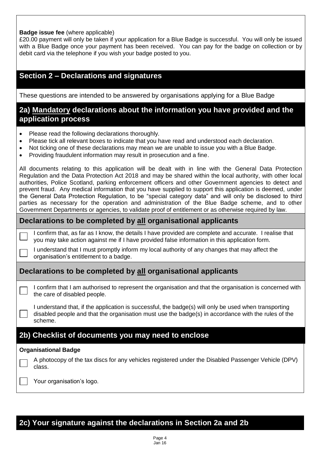#### **Badge issue fee** (where applicable)

£20.00 payment will only be taken if your application for a Blue Badge is successful. You will only be issued with a Blue Badge once your payment has been received. You can pay for the badge on collection or by debit card via the telephone if you wish your badge posted to you.

## **Section 2 – Declarations and signatures**

These questions are intended to be answered by organisations applying for a Blue Badge

## **2a) Mandatory declarations about the information you have provided and the application process**

- Please read the following declarations thoroughly.
- Please tick all relevant boxes to indicate that you have read and understood each declaration.
- Not ticking one of these declarations may mean we are unable to issue you with a Blue Badge.
- Providing fraudulent information may result in prosecution and a fine.

All documents relating to this application will be dealt with in line with the General Data Protection Regulation and the Data Protection Act 2018 and may be shared within the local authority, with other local authorities, Police Scotland, parking enforcement officers and other Government agencies to detect and prevent fraud. Any medical information that you have supplied to support this application is deemed, under the General Data Protection Regulation, to be "special category data" and will only be disclosed to third parties as necessary for the operation and administration of the Blue Badge scheme, and to other Government Departments or agencies, to validate proof of entitlement or as otherwise required by law.

#### **Declarations to be completed by all organisational applicants**

I confirm that, as far as I know, the details I have provided are complete and accurate. I realise that you may take action against me if I have provided false information in this application form.

I understand that I must promptly inform my local authority of any changes that may affect the organisation's entitlement to a badge.

## **Declarations to be completed by all organisational applicants**

I confirm that I am authorised to represent the organisation and that the organisation is concerned with the care of disabled people.

I understand that, if the application is successful, the badge(s) will only be used when transporting disabled people and that the organisation must use the badge(s) in accordance with the rules of the scheme.

## **2b) Checklist of documents you may need to enclose**

#### **Organisational Badge**

A photocopy of the tax discs for any vehicles registered under the Disabled Passenger Vehicle (DPV) class.

Your organisation's logo.

# **2c) Your signature against the declarations in Section 2a and 2b**